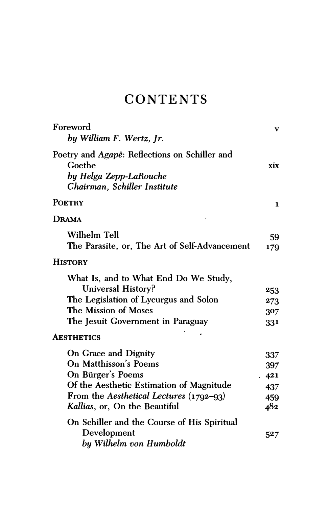## **CONTENTS**

| Foreword<br>by William F. Wertz, Jr.                                                                                                                                                       | v                                      |
|--------------------------------------------------------------------------------------------------------------------------------------------------------------------------------------------|----------------------------------------|
| Poetry and Agape: Reflections on Schiller and<br>Goethe<br>by Helga Zepp-LaRouche<br>Chairman, Schiller Institute                                                                          | xix                                    |
| <b>POETRY</b>                                                                                                                                                                              | 1                                      |
| Drama                                                                                                                                                                                      |                                        |
| <b>Wilhelm Tell</b><br>The Parasite, or, The Art of Self-Advancement                                                                                                                       | 59<br>179                              |
| <b>HISTORY</b>                                                                                                                                                                             |                                        |
| What Is, and to What End Do We Study,<br>Universal History?<br>The Legislation of Lycurgus and Solon<br>The Mission of Moses<br>The Jesuit Government in Paraguay                          | 253<br>273<br>307<br>331               |
| <b>AESTHETICS</b>                                                                                                                                                                          |                                        |
| On Grace and Dignity<br>On Matthisson's Poems<br>On Bürger's Poems<br>Of the Aesthetic Estimation of Magnitude<br>From the Aesthetical Lectures (1792-93)<br>Kallias, or, On the Beautiful | 337<br>397<br>421<br>437<br>459<br>482 |
| On Schiller and the Course of His Spiritual<br>Development<br>by Wilhelm von Humboldt                                                                                                      | 527                                    |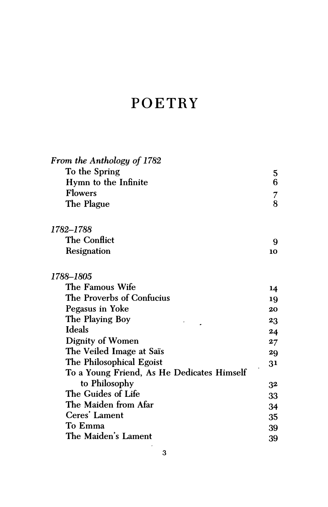## POETRY

| From the Anthology of 1782                 |         |
|--------------------------------------------|---------|
| To the Spring                              |         |
| Hymn to the Infinite                       | 5<br>6  |
| <b>Flowers</b>                             | 7       |
| The Plague                                 | 8       |
| 1782–1788                                  |         |
| <b>The Conflict</b>                        | 9       |
| Resignation                                | 10      |
| 1788–1805                                  |         |
| The Famous Wife                            | 14      |
| The Proverbs of Confucius                  | 19      |
| Pegasus in Yoke                            | 20      |
| The Playing Boy                            | 23      |
| <b>Ideals</b>                              | 24      |
| <b>Dignity of Women</b>                    | $27 \,$ |
| The Veiled Image at Saïs                   | 29      |
| The Philosophical Egoist                   | 31      |
| To a Young Friend, As He Dedicates Himself |         |
| to Philosophy                              | 32      |
| The Guides of Life                         | 33      |
| The Maiden from Afar                       | 34      |
| Ceres' Lament                              | 35      |
| To Emma                                    | 39      |
| The Maiden's Lament                        | 39      |